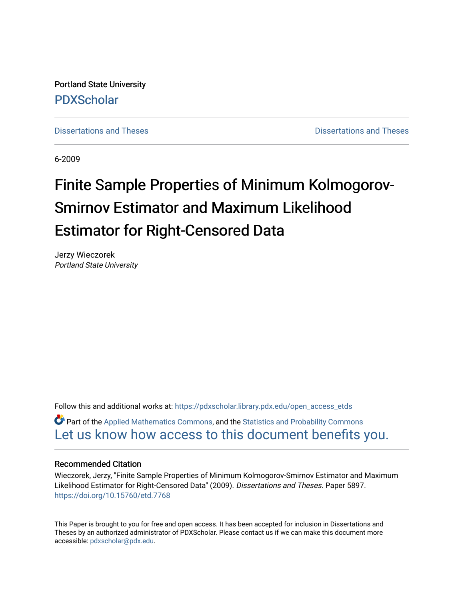Portland State University [PDXScholar](https://pdxscholar.library.pdx.edu/)

[Dissertations and Theses](https://pdxscholar.library.pdx.edu/open_access_etds) **Distributions** and Theses **Distributions** and Theses

6-2009

# Finite Sample Properties of Minimum Kolmogorov-Smirnov Estimator and Maximum Likelihood Estimator for Right-Censored Data

Jerzy Wieczorek Portland State University

Follow this and additional works at: [https://pdxscholar.library.pdx.edu/open\\_access\\_etds](https://pdxscholar.library.pdx.edu/open_access_etds?utm_source=pdxscholar.library.pdx.edu%2Fopen_access_etds%2F5897&utm_medium=PDF&utm_campaign=PDFCoverPages)

Part of the [Applied Mathematics Commons](http://network.bepress.com/hgg/discipline/115?utm_source=pdxscholar.library.pdx.edu%2Fopen_access_etds%2F5897&utm_medium=PDF&utm_campaign=PDFCoverPages), and the [Statistics and Probability Commons](http://network.bepress.com/hgg/discipline/208?utm_source=pdxscholar.library.pdx.edu%2Fopen_access_etds%2F5897&utm_medium=PDF&utm_campaign=PDFCoverPages) [Let us know how access to this document benefits you.](http://library.pdx.edu/services/pdxscholar-services/pdxscholar-feedback/) 

#### Recommended Citation

Wieczorek, Jerzy, "Finite Sample Properties of Minimum Kolmogorov-Smirnov Estimator and Maximum Likelihood Estimator for Right-Censored Data" (2009). Dissertations and Theses. Paper 5897. <https://doi.org/10.15760/etd.7768>

This Paper is brought to you for free and open access. It has been accepted for inclusion in Dissertations and Theses by an authorized administrator of PDXScholar. Please contact us if we can make this document more accessible: [pdxscholar@pdx.edu.](mailto:pdxscholar@pdx.edu)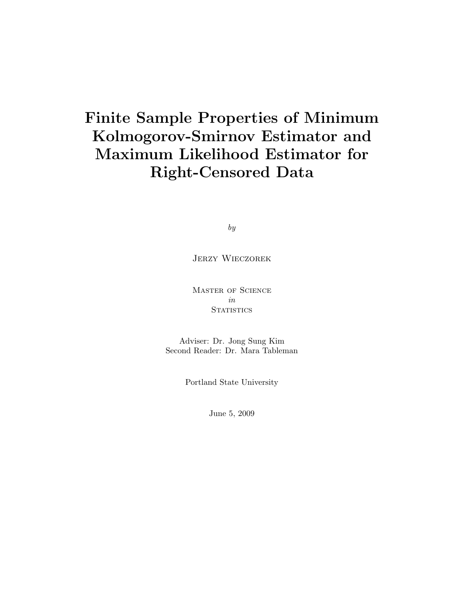## Finite Sample Properties of Minimum Kolmogorov-Smirnov Estimator and Maximum Likelihood Estimator for Right-Censored Data

by

### Jerzy Wieczorek

Master of Science in **STATISTICS** 

Adviser: Dr. Jong Sung Kim Second Reader: Dr. Mara Tableman

Portland State University

June 5, 2009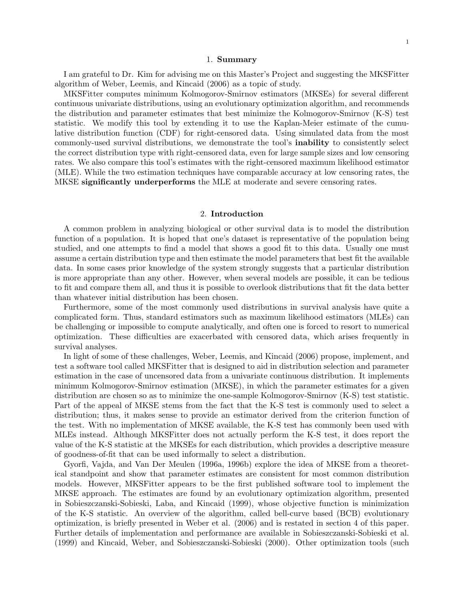#### 1. Summary

I am grateful to Dr. Kim for advising me on this Master's Project and suggesting the MKSFitter algorithm of Weber, Leemis, and Kincaid (2006) as a topic of study.

MKSFitter computes minimum Kolmogorov-Smirnov estimators (MKSEs) for several different continuous univariate distributions, using an evolutionary optimization algorithm, and recommends the distribution and parameter estimates that best minimize the Kolmogorov-Smirnov (K-S) test statistic. We modify this tool by extending it to use the Kaplan-Meier estimate of the cumulative distribution function (CDF) for right-censored data. Using simulated data from the most commonly-used survival distributions, we demonstrate the tool's inability to consistently select the correct distribution type with right-censored data, even for large sample sizes and low censoring rates. We also compare this tool's estimates with the right-censored maximum likelihood estimator (MLE). While the two estimation techniques have comparable accuracy at low censoring rates, the MKSE significantly underperforms the MLE at moderate and severe censoring rates.

#### 2. Introduction

A common problem in analyzing biological or other survival data is to model the distribution function of a population. It is hoped that one's dataset is representative of the population being studied, and one attempts to find a model that shows a good fit to this data. Usually one must assume a certain distribution type and then estimate the model parameters that best fit the available data. In some cases prior knowledge of the system strongly suggests that a particular distribution is more appropriate than any other. However, when several models are possible, it can be tedious to fit and compare them all, and thus it is possible to overlook distributions that fit the data better than whatever initial distribution has been chosen.

Furthermore, some of the most commonly used distributions in survival analysis have quite a complicated form. Thus, standard estimators such as maximum likelihood estimators (MLEs) can be challenging or impossible to compute analytically, and often one is forced to resort to numerical optimization. These difficulties are exacerbated with censored data, which arises frequently in survival analyses.

In light of some of these challenges, Weber, Leemis, and Kincaid (2006) propose, implement, and test a software tool called MKSFitter that is designed to aid in distribution selection and parameter estimation in the case of uncensored data from a univariate continuous distribution. It implements minimum Kolmogorov-Smirnov estimation (MKSE), in which the parameter estimates for a given distribution are chosen so as to minimize the one-sample Kolmogorov-Smirnov (K-S) test statistic. Part of the appeal of MKSE stems from the fact that the K-S test is commonly used to select a distribution; thus, it makes sense to provide an estimator derived from the criterion function of the test. With no implementation of MKSE available, the K-S test has commonly been used with MLEs instead. Although MKSFitter does not actually perform the K-S test, it does report the value of the K-S statistic at the MKSEs for each distribution, which provides a descriptive measure of goodness-of-fit that can be used informally to select a distribution.

Gyorfi, Vajda, and Van Der Meulen (1996a, 1996b) explore the idea of MKSE from a theoretical standpoint and show that parameter estimates are consistent for most common distribution models. However, MKSFitter appears to be the first published software tool to implement the MKSE approach. The estimates are found by an evolutionary optimization algorithm, presented in Sobieszczanski-Sobieski, Laba, and Kincaid (1999), whose objective function is minimization of the K-S statistic. An overview of the algorithm, called bell-curve based (BCB) evolutionary optimization, is briefly presented in Weber et al. (2006) and is restated in section 4 of this paper. Further details of implementation and performance are available in Sobieszczanski-Sobieski et al. (1999) and Kincaid, Weber, and Sobieszczanski-Sobieski (2000). Other optimization tools (such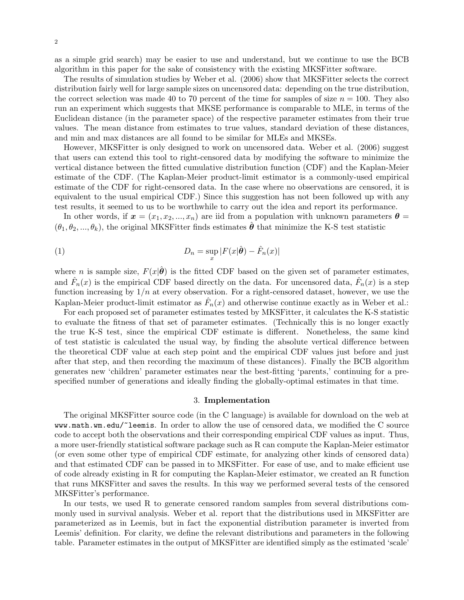as a simple grid search) may be easier to use and understand, but we continue to use the BCB algorithm in this paper for the sake of consistency with the existing MKSFitter software.

The results of simulation studies by Weber et al. (2006) show that MKSFitter selects the correct distribution fairly well for large sample sizes on uncensored data: depending on the true distribution, the correct selection was made 40 to 70 percent of the time for samples of size  $n = 100$ . They also run an experiment which suggests that MKSE performance is comparable to MLE, in terms of the Euclidean distance (in the parameter space) of the respective parameter estimates from their true values. The mean distance from estimates to true values, standard deviation of these distances, and min and max distances are all found to be similar for MLEs and MKSEs.

However, MKSFitter is only designed to work on uncensored data. Weber et al. (2006) suggest that users can extend this tool to right-censored data by modifying the software to minimize the vertical distance between the fitted cumulative distribution function (CDF) and the Kaplan-Meier estimate of the CDF. (The Kaplan-Meier product-limit estimator is a commonly-used empirical estimate of the CDF for right-censored data. In the case where no observations are censored, it is equivalent to the usual empirical CDF.) Since this suggestion has not been followed up with any test results, it seemed to us to be worthwhile to carry out the idea and report its performance.

In other words, if  $x = (x_1, x_2, ..., x_n)$  are iid from a population with unknown parameters  $\theta =$  $(\theta_1, \theta_2, ..., \theta_k)$ , the original MKSFitter finds estimates  $\hat{\boldsymbol{\theta}}$  that minimize the K-S test statistic

(1) 
$$
D_n = \sup_x |F(x|\hat{\boldsymbol{\theta}}) - \hat{F}_n(x)|
$$

where n is sample size,  $F(x|\hat{\theta})$  is the fitted CDF based on the given set of parameter estimates, and  $\hat{F}_n(x)$  is the empirical CDF based directly on the data. For uncensored data,  $\hat{F}_n(x)$  is a step function increasing by  $1/n$  at every observation. For a right-censored dataset, however, we use the Kaplan-Meier product-limit estimator as  $\hat{F}_n(x)$  and otherwise continue exactly as in Weber et al.:

For each proposed set of parameter estimates tested by MKSFitter, it calculates the K-S statistic to evaluate the fitness of that set of parameter estimates. (Technically this is no longer exactly the true K-S test, since the empirical CDF estimate is different. Nonetheless, the same kind of test statistic is calculated the usual way, by finding the absolute vertical difference between the theoretical CDF value at each step point and the empirical CDF values just before and just after that step, and then recording the maximum of these distances). Finally the BCB algorithm generates new 'children' parameter estimates near the best-fitting 'parents,' continuing for a prespecified number of generations and ideally finding the globally-optimal estimates in that time.

#### 3. Implementation

The original MKSFitter source code (in the C language) is available for download on the web at www.math.wm.edu/~leemis. In order to allow the use of censored data, we modified the C source code to accept both the observations and their corresponding empirical CDF values as input. Thus, a more user-friendly statistical software package such as R can compute the Kaplan-Meier estimator (or even some other type of empirical CDF estimate, for analyzing other kinds of censored data) and that estimated CDF can be passed in to MKSFitter. For ease of use, and to make efficient use of code already existing in R for computing the Kaplan-Meier estimator, we created an R function that runs MKSFitter and saves the results. In this way we performed several tests of the censored MKSFitter's performance.

In our tests, we used R to generate censored random samples from several distributions commonly used in survival analysis. Weber et al. report that the distributions used in MKSFitter are parameterized as in Leemis, but in fact the exponential distribution parameter is inverted from Leemis' definition. For clarity, we define the relevant distributions and parameters in the following table. Parameter estimates in the output of MKSFitter are identified simply as the estimated 'scale'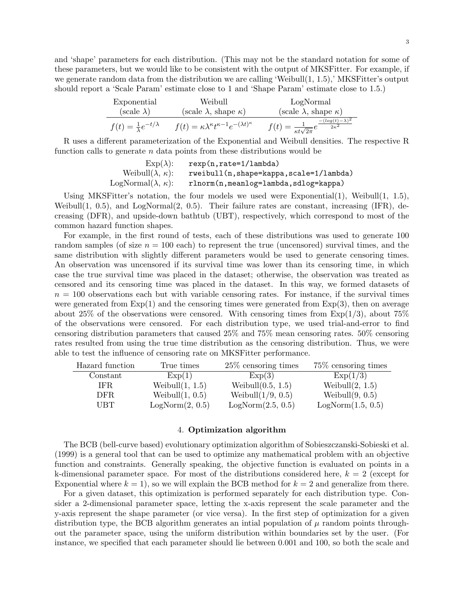and 'shape' parameters for each distribution. (This may not be the standard notation for some of these parameters, but we would like to be consistent with the output of MKSFitter. For example, if we generate random data from the distribution we are calling 'Weibull(1, 1.5),' MKSFitter's output should report a 'Scale Param' estimate close to 1 and 'Shape Param' estimate close to 1.5.)

| Exponential                              | Weibull                                                                   | LogNormal                                                                                  |
|------------------------------------------|---------------------------------------------------------------------------|--------------------------------------------------------------------------------------------|
| $(scale \lambda)$                        | (scale $\lambda$ , shape $\kappa$ )                                       | (scale $\lambda$ , shape $\kappa$ )                                                        |
| $f(t) = \frac{1}{\lambda}e^{-t/\lambda}$ | $f(t) = \kappa \lambda^{\kappa} t^{\kappa - 1} e^{-(\lambda t)^{\kappa}}$ | $\frac{-(\log(t)-\lambda)^2}{2\kappa^2}$<br>$f(t) = \frac{1}{\kappa t \sqrt{2\pi}} e^{-t}$ |

R uses a different parameterization of the Exponential and Weibull densities. The respective R function calls to generate  $n$  data points from these distributions would be

| $Exp(\lambda)$ :                | $rexp(n, rate=1/lambda)$               |
|---------------------------------|----------------------------------------|
| Weibull $(\lambda, \kappa)$ :   | rweibull(n,shape=kappa,scale=1/lambda) |
| LogNormal $(\lambda, \kappa)$ : | rlnorm(n, meanlog=lambda, sdlog=kappa) |

Using MKSFitter's notation, the four models we used were Exponential(1), Weibull(1, 1.5), Weibull $(1, 0.5)$ , and LogNormal $(2, 0.5)$ . Their failure rates are constant, increasing (IFR), decreasing (DFR), and upside-down bathtub (UBT), respectively, which correspond to most of the common hazard function shapes.

For example, in the first round of tests, each of these distributions was used to generate 100 random samples (of size  $n = 100$  each) to represent the true (uncensored) survival times, and the same distribution with slightly different parameters would be used to generate censoring times. An observation was uncensored if its survival time was lower than its censoring time, in which case the true survival time was placed in the dataset; otherwise, the observation was treated as censored and its censoring time was placed in the dataset. In this way, we formed datasets of  $n = 100$  observations each but with variable censoring rates. For instance, if the survival times were generated from  $Exp(1)$  and the censoring times were generated from  $Exp(3)$ , then on average about 25% of the observations were censored. With censoring times from  $Exp(1/3)$ , about 75% of the observations were censored. For each distribution type, we used trial-and-error to find censoring distribution parameters that caused 25% and 75% mean censoring rates. 50% censoring rates resulted from using the true time distribution as the censoring distribution. Thus, we were able to test the influence of censoring rate on MKSFitter performance.

| Hazard function | True times         | $25\%$ censoring times | 75\% censoring times |
|-----------------|--------------------|------------------------|----------------------|
| Constant        | Exp(1)             | Exp(3)                 | Exp(1/3)             |
| IFR.            | Weibull $(1, 1.5)$ | Weibull $(0.5, 1.5)$   | Weibull $(2, 1.5)$   |
| DFR.            | Weibull $(1, 0.5)$ | Weibull $(1/9, 0.5)$   | Weibull $(9, 0.5)$   |
| UBT             | LogNorm(2, 0.5)    | LogNorm(2.5, 0.5)      | LogNorm(1.5, 0.5)    |

#### 4. Optimization algorithm

The BCB (bell-curve based) evolutionary optimization algorithm of Sobieszczanski-Sobieski et al. (1999) is a general tool that can be used to optimize any mathematical problem with an objective function and constraints. Generally speaking, the objective function is evaluated on points in a k-dimensional parameter space. For most of the distributions considered here,  $k = 2$  (except for Exponential where  $k = 1$ , so we will explain the BCB method for  $k = 2$  and generalize from there.

For a given dataset, this optimization is performed separately for each distribution type. Consider a 2-dimensional parameter space, letting the x-axis represent the scale parameter and the y-axis represent the shape parameter (or vice versa). In the first step of optimization for a given distribution type, the BCB algorithm generates an intial population of  $\mu$  random points throughout the parameter space, using the uniform distribution within boundaries set by the user. (For instance, we specified that each parameter should lie between 0.001 and 100, so both the scale and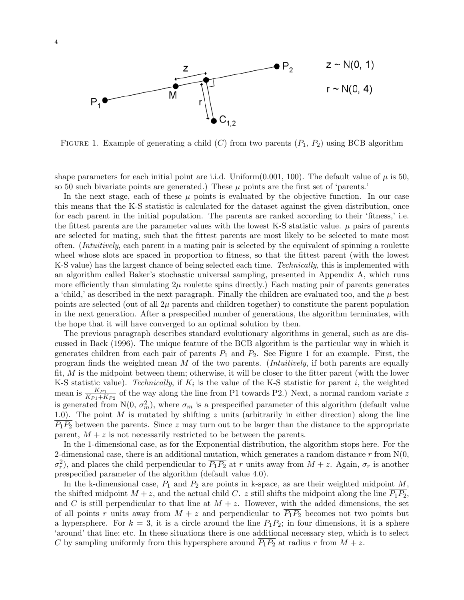

FIGURE 1. Example of generating a child  $(C)$  from two parents  $(P_1, P_2)$  using BCB algorithm

shape parameters for each initial point are i.i.d. Uniform(0.001, 100). The default value of  $\mu$  is 50, so 50 such bivariate points are generated.) These  $\mu$  points are the first set of 'parents.'

In the next stage, each of these  $\mu$  points is evaluated by the objective function. In our case this means that the K-S statistic is calculated for the dataset against the given distribution, once for each parent in the initial population. The parents are ranked according to their 'fitness,' i.e. the fittest parents are the parameter values with the lowest K-S statistic value.  $\mu$  pairs of parents are selected for mating, such that the fittest parents are most likely to be selected to mate most often. (Intuitively, each parent in a mating pair is selected by the equivalent of spinning a roulette wheel whose slots are spaced in proportion to fitness, so that the fittest parent (with the lowest K-S value) has the largest chance of being selected each time. *Technically*, this is implemented with an algorithm called Baker's stochastic universal sampling, presented in Appendix A, which runs more efficiently than simulating  $2\mu$  roulette spins directly.) Each mating pair of parents generates a 'child,' as described in the next paragraph. Finally the children are evaluated too, and the  $\mu$  best points are selected (out of all  $2\mu$  parents and children together) to constitute the parent population in the next generation. After a prespecified number of generations, the algorithm terminates, with the hope that it will have converged to an optimal solution by then.

The previous paragraph describes standard evolutionary algorithms in general, such as are discussed in Back (1996). The unique feature of the BCB algorithm is the particular way in which it generates children from each pair of parents  $P_1$  and  $P_2$ . See Figure 1 for an example. First, the program finds the weighted mean  $M$  of the two parents. (*Intuitively*, if both parents are equally fit, M is the midpoint between them; otherwise, it will be closer to the fitter parent (with the lower K-S statistic value). Technically, if  $K_i$  is the value of the K-S statistic for parent i, the weighted mean is  $\frac{K_{P1}}{K_{P1}+K_{P2}}$  of the way along the line from P1 towards P2.) Next, a normal random variate z is generated from N(0,  $\sigma_m^2$ ), where  $\sigma_m$  is a prespecified parameter of this algorithm (default value 1.0). The point M is mutated by shifting z units (arbitrarily in either direction) along the line  $\overline{P_1P_2}$  between the parents. Since z may turn out to be larger than the distance to the appropriate parent,  $M + z$  is not necessarily restricted to be between the parents.

In the 1-dimensional case, as for the Exponential distribution, the algorithm stops here. For the 2-dimensional case, there is an additional mutation, which generates a random distance  $r$  from  $N(0,$  $\sigma_r^2$ ), and places the child perpendicular to  $\overline{P_1P_2}$  at r units away from  $M + z$ . Again,  $\sigma_r$  is another prespecified parameter of the algorithm (default value 4.0).

In the k-dimensional case,  $P_1$  and  $P_2$  are points in k-space, as are their weighted midpoint M, the shifted midpoint  $M + z$ , and the actual child C. z still shifts the midpoint along the line  $P_1P_2$ , and C is still perpendicular to that line at  $M + z$ . However, with the added dimensions, the set of all points r units away from  $M + z$  and perpendicular to  $\overline{P_1P_2}$  becomes not two points but a hypersphere. For  $k = 3$ , it is a circle around the line  $\overline{P_1P_2}$ ; in four dimensions, it is a sphere 'around' that line; etc. In these situations there is one additional necessary step, which is to select C by sampling uniformly from this hypersphere around  $\overline{P_1P_2}$  at radius r from  $M + z$ .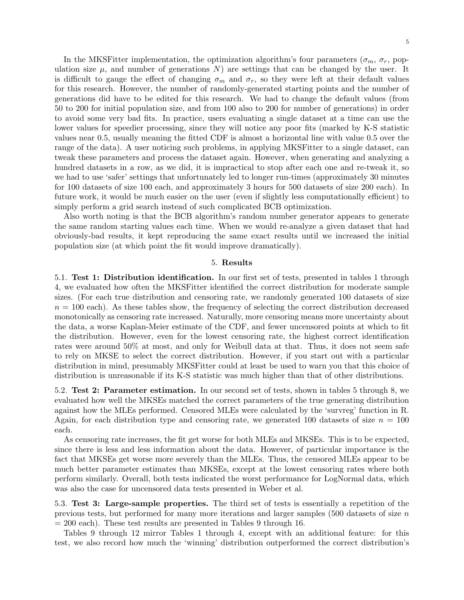In the MKSFitter implementation, the optimization algorithm's four parameters ( $\sigma_m$ ,  $\sigma_r$ , population size  $\mu$ , and number of generations N) are settings that can be changed by the user. It is difficult to gauge the effect of changing  $\sigma_m$  and  $\sigma_r$ , so they were left at their default values for this research. However, the number of randomly-generated starting points and the number of generations did have to be edited for this research. We had to change the default values (from 50 to 200 for initial population size, and from 100 also to 200 for number of generations) in order to avoid some very bad fits. In practice, users evaluating a single dataset at a time can use the lower values for speedier processing, since they will notice any poor fits (marked by K-S statistic values near 0.5, usually meaning the fitted CDF is almost a horizontal line with value 0.5 over the range of the data). A user noticing such problems, in applying MKSFitter to a single dataset, can tweak these parameters and process the dataset again. However, when generating and analyzing a hundred datasets in a row, as we did, it is impractical to stop after each one and re-tweak it, so we had to use 'safer' settings that unfortunately led to longer run-times (approximately 30 minutes for 100 datasets of size 100 each, and approximately 3 hours for 500 datasets of size 200 each). In future work, it would be much easier on the user (even if slightly less computationally efficient) to simply perform a grid search instead of such complicated BCB optimization.

Also worth noting is that the BCB algorithm's random number generator appears to generate the same random starting values each time. When we would re-analyze a given dataset that had obviously-bad results, it kept reproducing the same exact results until we increased the initial population size (at which point the fit would improve dramatically).

#### 5. Results

5.1. Test 1: Distribution identification. In our first set of tests, presented in tables 1 through 4, we evaluated how often the MKSFitter identified the correct distribution for moderate sample sizes. (For each true distribution and censoring rate, we randomly generated 100 datasets of size  $n = 100$  each). As these tables show, the frequency of selecting the correct distribution decreased monotonically as censoring rate increased. Naturally, more censoring means more uncertainty about the data, a worse Kaplan-Meier estimate of the CDF, and fewer uncensored points at which to fit the distribution. However, even for the lowest censoring rate, the highest correct identification rates were around 50% at most, and only for Weibull data at that. Thus, it does not seem safe to rely on MKSE to select the correct distribution. However, if you start out with a particular distribution in mind, presumably MKSFitter could at least be used to warn you that this choice of distribution is unreasonable if its K-S statistic was much higher than that of other distributions.

5.2. Test 2: Parameter estimation. In our second set of tests, shown in tables 5 through 8, we evaluated how well the MKSEs matched the correct parameters of the true generating distribution against how the MLEs performed. Censored MLEs were calculated by the 'survreg' function in R. Again, for each distribution type and censoring rate, we generated 100 datasets of size  $n = 100$ each.

As censoring rate increases, the fit get worse for both MLEs and MKSEs. This is to be expected, since there is less and less information about the data. However, of particular importance is the fact that MKSEs get worse more severely than the MLEs. Thus, the censored MLEs appear to be much better parameter estimates than MKSEs, except at the lowest censoring rates where both perform similarly. Overall, both tests indicated the worst performance for LogNormal data, which was also the case for uncensored data tests presented in Weber et al.

5.3. Test 3: Large-sample properties. The third set of tests is essentially a repetition of the previous tests, but performed for many more iterations and larger samples  $(500 \text{ datasets of size } n$  $= 200$  each). These test results are presented in Tables 9 through 16.

Tables 9 through 12 mirror Tables 1 through 4, except with an additional feature: for this test, we also record how much the 'winning' distribution outperformed the correct distribution's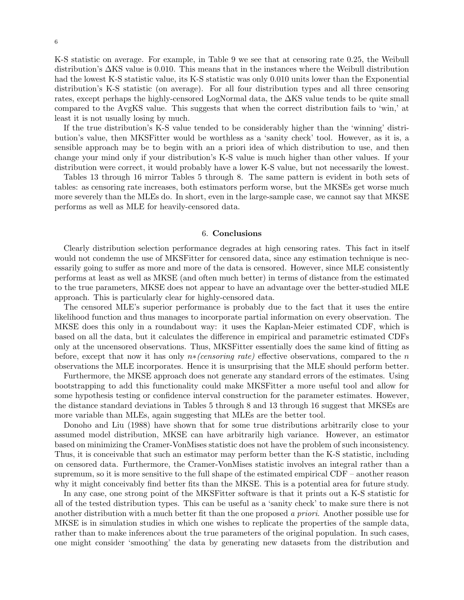K-S statistic on average. For example, in Table 9 we see that at censoring rate 0.25, the Weibull distribution's ∆KS value is 0.010. This means that in the instances where the Weibull distribution had the lowest K-S statistic value, its K-S statistic was only 0.010 units lower than the Exponential distribution's K-S statistic (on average). For all four distribution types and all three censoring rates, except perhaps the highly-censored LogNormal data, the ∆KS value tends to be quite small compared to the AvgKS value. This suggests that when the correct distribution fails to 'win,' at least it is not usually losing by much.

If the true distribution's K-S value tended to be considerably higher than the 'winning' distribution's value, then MKSFitter would be worthless as a 'sanity check' tool. However, as it is, a sensible approach may be to begin with an a priori idea of which distribution to use, and then change your mind only if your distribution's K-S value is much higher than other values. If your distribution were correct, it would probably have a lower K-S value, but not necessarily the lowest.

Tables 13 through 16 mirror Tables 5 through 8. The same pattern is evident in both sets of tables: as censoring rate increases, both estimators perform worse, but the MKSEs get worse much more severely than the MLEs do. In short, even in the large-sample case, we cannot say that MKSE performs as well as MLE for heavily-censored data.

#### 6. Conclusions

Clearly distribution selection performance degrades at high censoring rates. This fact in itself would not condemn the use of MKSF itter for censored data, since any estimation technique is necessarily going to suffer as more and more of the data is censored. However, since MLE consistently performs at least as well as MKSE (and often much better) in terms of distance from the estimated to the true parameters, MKSE does not appear to have an advantage over the better-studied MLE approach. This is particularly clear for highly-censored data.

The censored MLE's superior performance is probably due to the fact that it uses the entire likelihood function and thus manages to incorporate partial information on every observation. The MKSE does this only in a roundabout way: it uses the Kaplan-Meier estimated CDF, which is based on all the data, but it calculates the difference in empirical and parametric estimated CDFs only at the uncensored observations. Thus, MKSFitter essentially does the same kind of fitting as before, except that now it has only  $n*(censoring rate)$  effective observations, compared to the n observations the MLE incorporates. Hence it is unsurprising that the MLE should perform better.

Furthermore, the MKSE approach does not generate any standard errors of the estimates. Using bootstrapping to add this functionality could make MKSFitter a more useful tool and allow for some hypothesis testing or confidence interval construction for the parameter estimates. However, the distance standard deviations in Tables 5 through 8 and 13 through 16 suggest that MKSEs are more variable than MLEs, again suggesting that MLEs are the better tool.

Donoho and Liu (1988) have shown that for some true distributions arbitrarily close to your assumed model distribution, MKSE can have arbitrarily high variance. However, an estimator based on minimizing the Cramer-VonMises statistic does not have the problem of such inconsistency. Thus, it is conceivable that such an estimator may perform better than the K-S statistic, including on censored data. Furthermore, the Cramer-VonMises statistic involves an integral rather than a supremum, so it is more sensitive to the full shape of the estimated empirical CDF – another reason why it might conceivably find better fits than the MKSE. This is a potential area for future study.

In any case, one strong point of the MKSFitter software is that it prints out a K-S statistic for all of the tested distribution types. This can be useful as a 'sanity check' to make sure there is not another distribution with a much better fit than the one proposed a priori. Another possible use for MKSE is in simulation studies in which one wishes to replicate the properties of the sample data, rather than to make inferences about the true parameters of the original population. In such cases, one might consider 'smoothing' the data by generating new datasets from the distribution and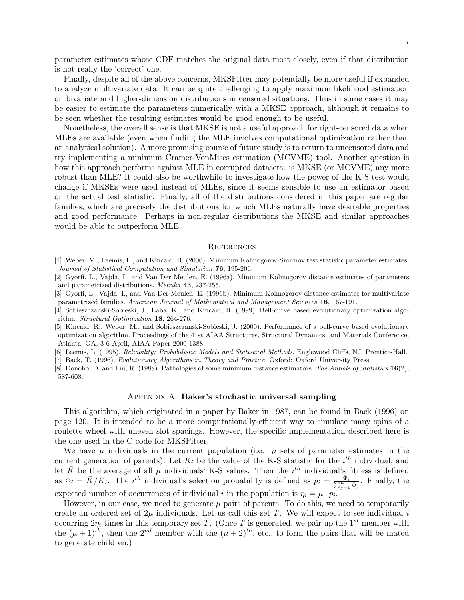parameter estimates whose CDF matches the original data most closely, even if that distribution is not really the 'correct' one.

Finally, despite all of the above concerns, MKSFitter may potentially be more useful if expanded to analyze multivariate data. It can be quite challenging to apply maximum likelihood estimation on bivariate and higher-dimension distributions in censored situations. Thus in some cases it may be easier to estimate the parameters numerically with a MKSE approach, although it remains to be seen whether the resulting estimates would be good enough to be useful.

Nonetheless, the overall sense is that MKSE is not a useful approach for right-censored data when MLEs are available (even when finding the MLE involves computational optimization rather than an analytical solution). A more promising course of future study is to return to uncensored data and try implementing a minimum Cramer-VonMises estimation (MCVME) tool. Another question is how this approach performs against MLE in corrupted datasets: is MKSE (or MCVME) any more robust than MLE? It could also be worthwhile to investigate how the power of the K-S test would change if MKSEs were used instead of MLEs, since it seems sensible to use an estimator based on the actual test statistic. Finally, all of the distributions considered in this paper are regular families, which are precisely the distributions for which MLEs naturally have desirable properties and good performance. Perhaps in non-regular distributions the MKSE and similar approaches would be able to outperform MLE.

#### **REFERENCES**

- [1] Weber, M., Leemis, L., and Kincaid, R. (2006). Minimum Kolmogorov-Smirnov test statistic parameter estimates. Journal of Statistical Computation and Simulation 76, 195-206.
- [2] Gyorfi, L., Vajda, I., and Van Der Meulen, E. (1996a). Minimum Kolmogorov distance estimates of parameters and parametrized distributions. Metrika 43, 237-255.
- [3] Gyorfi, L., Vajda, I., and Van Der Meulen, E. (1996b). Minimum Kolmogorov distance estimates for multivariate parametrized families. American Journal of Mathematical and Management Sciences 16, 167-191.
- [4] Sobieszczanski-Sobieski, J., Laba, K., and Kincaid, R. (1999). Bell-curve based evolutionary optimization algorithm. Structural Optimization 18, 264-276.
- [5] Kincaid, R., Weber, M., and Sobieszczanski-Sobieski, J. (2000). Performance of a bell-curve based evolutionary optimization algorithm. Proceedings of the 41st AIAA Structures, Structural Dynamics, and Materials Conference, Atlanta, GA, 3-6 April, AIAA Paper 2000-1388.
- [6] Leemis, L. (1995). Reliability: Probabilistic Models and Statistical Methods. Englewood Cliffs, NJ: Prentice-Hall.
- [7] Back, T. (1996). Evolutionary Algorithms in Theory and Practice. Oxford: Oxford University Press.
- [8] Donoho, D. and Liu, R. (1988). Pathologies of some minimum distance estimators. The Annals of Statistics 16(2), 587-608.

#### Appendix A. Baker's stochastic universal sampling

This algorithm, which originated in a paper by Baker in 1987, can be found in Back (1996) on page 120. It is intended to be a more computationally-efficient way to simulate many spins of a roulette wheel with uneven slot spacings. However, the specific implementation described here is the one used in the C code for MKSFitter.

We have  $\mu$  individuals in the current population (i.e.  $\mu$  sets of parameter estimates in the current generation of parents). Let  $K_i$  be the value of the K-S statistic for the  $i^{th}$  individual, and let  $\bar{K}$  be the average of all  $\mu$  individuals' K-S values. Then the  $i^{th}$  individual's fitness is defined as  $\Phi_i = \bar{K}/K_i$ . The *i*<sup>th</sup> individual's selection probability is defined as  $p_i = \frac{\Phi_i}{\sum_{j=1}^{\mu} \Phi_j}$ . Finally, the expected number of occurrences of individual i in the population is  $\eta_i = \mu \cdot p_i$ .

However, in our case, we need to generate  $\mu$  pairs of parents. To do this, we need to temporarily create an ordered set of  $2\mu$  individuals. Let us call this set T. We will expect to see individual i occurring  $2\eta_i$  times in this temporary set T. (Once T is generated, we pair up the 1<sup>st</sup> member with the  $(\mu + 1)^{th}$ , then the  $2^{nd}$  member with the  $(\mu + 2)^{th}$ , etc., to form the pairs that will be mated to generate children.)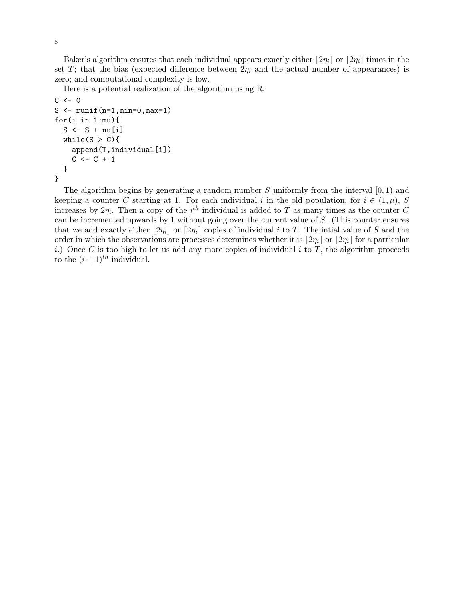Baker's algorithm ensures that each individual appears exactly either  $|2\eta_i|$  or  $[2\eta_i]$  times in the set T; that the bias (expected difference between  $2\eta_i$  and the actual number of appearances) is zero; and computational complexity is low.

Here is a potential realization of the algorithm using R:

```
C \leftarrow 0S \leftarrow runif(n=1, min=0, max=1)for(i in 1:mu){
  S \leftarrow S + nu[i]while(S > C){
     append(T,individual[i])
     C \leftarrow C + 1}
}
```
The algorithm begins by generating a random number S uniformly from the interval  $[0, 1)$  and keeping a counter C starting at 1. For each individual i in the old population, for  $i \in (1,\mu)$ , S increases by  $2\eta_i$ . Then a copy of the *i*<sup>th</sup> individual is added to T as many times as the counter C can be incremented upwards by 1 without going over the current value of S. (This counter ensures that we add exactly either  $\lfloor 2\eta_i \rfloor$  or  $\lceil 2\eta_i \rceil$  copies of individual i to T. The intial value of S and the order in which the observations are processes determines whether it is  $|2\eta_i|$  or  $[2\eta_i]$  for a particular i.) Once C is too high to let us add any more copies of individual  $i$  to T, the algorithm proceeds to the  $(i + 1)^{th}$  individual.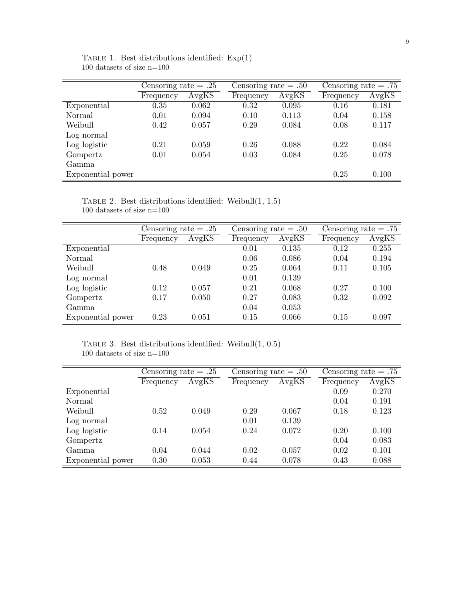|                   | Censoring rate $= .25$ |       | Censoring rate $= .50$ |       | Censoring rate $= .75$ |       |
|-------------------|------------------------|-------|------------------------|-------|------------------------|-------|
|                   | Frequency              | AvgKS | Frequency              | AvgKS | Frequency              | AvgKS |
| Exponential       | 0.35                   | 0.062 | 0.32                   | 0.095 | 0.16                   | 0.181 |
| Normal            | 0.01                   | 0.094 | 0.10                   | 0.113 | 0.04                   | 0.158 |
| Weibull           | 0.42                   | 0.057 | 0.29                   | 0.084 | 0.08                   | 0.117 |
| Log normal        |                        |       |                        |       |                        |       |
| Log logistic      | 0.21                   | 0.059 | 0.26                   | 0.088 | 0.22                   | 0.084 |
| Gompertz          | 0.01                   | 0.054 | 0.03                   | 0.084 | 0.25                   | 0.078 |
| Gamma.            |                        |       |                        |       |                        |       |
| Exponential power |                        |       |                        |       | 0.25                   | 0.100 |

TABLE 1. Best distributions identified:  $Exp(1)$ 100 datasets of size n=100

TABLE 2. Best distributions identified: Weibull $(1, 1.5)$ 100 datasets of size n=100

|                   | Censoring rate $= .25$ |       | Censoring rate $= .50$ |       |           | Censoring rate $= .75$ |  |  |
|-------------------|------------------------|-------|------------------------|-------|-----------|------------------------|--|--|
|                   | Frequency              | AvgKS | Frequency              | AvgKS | Frequency | AvgKS                  |  |  |
| Exponential       |                        |       | 0.01                   | 0.135 | 0.12      | 0.255                  |  |  |
| Normal            |                        |       | 0.06                   | 0.086 | 0.04      | 0.194                  |  |  |
| Weibull           | 0.48                   | 0.049 | 0.25                   | 0.064 | 0.11      | 0.105                  |  |  |
| Log normal        |                        |       | 0.01                   | 0.139 |           |                        |  |  |
| Log logistic      | 0.12                   | 0.057 | 0.21                   | 0.068 | 0.27      | 0.100                  |  |  |
| Gompertz          | 0.17                   | 0.050 | 0.27                   | 0.083 | 0.32      | 0.092                  |  |  |
| Gamma             |                        |       | 0.04                   | 0.053 |           |                        |  |  |
| Exponential power | 0.23                   | 0.051 | 0.15                   | 0.066 | 0.15      | 0.097                  |  |  |

TABLE 3. Best distributions identified: Weibull $(1, 0.5)$  $100$  datasets of size  $\mathrm{n}{=}100$ 

|                   | Censoring rate $= .25$ |       | Censoring rate $= .50$ |       | Censoring rate $= .75$ |       |
|-------------------|------------------------|-------|------------------------|-------|------------------------|-------|
|                   | Frequency              | AvgKS | Frequency              | AvgKS | Frequency              | AvgKS |
| Exponential       |                        |       |                        |       | 0.09                   | 0.270 |
| Normal            |                        |       |                        |       | 0.04                   | 0.191 |
| Weibull           | 0.52                   | 0.049 | 0.29                   | 0.067 | 0.18                   | 0.123 |
| Log normal        |                        |       | 0.01                   | 0.139 |                        |       |
| Log logistic      | 0.14                   | 0.054 | 0.24                   | 0.072 | 0.20                   | 0.100 |
| Gompertz          |                        |       |                        |       | 0.04                   | 0.083 |
| Gamma.            | 0.04                   | 0.044 | 0.02                   | 0.057 | 0.02                   | 0.101 |
| Exponential power | 0.30                   | 0.053 | 0.44                   | 0.078 | 0.43                   | 0.088 |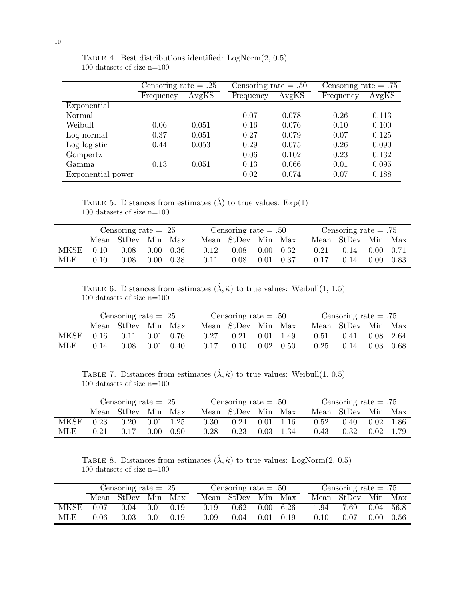|                   | Censoring rate $= .25$ |       | Censoring rate $= .50$ |       | Censoring rate $= .75$ |       |
|-------------------|------------------------|-------|------------------------|-------|------------------------|-------|
|                   | Frequency              | AvgKS | Frequency              | AvgKS | Frequency              | AvgKS |
| Exponential       |                        |       |                        |       |                        |       |
| Normal            |                        |       | 0.07                   | 0.078 | 0.26                   | 0.113 |
| Weibull           | 0.06                   | 0.051 | 0.16                   | 0.076 | 0.10                   | 0.100 |
| Log normal        | 0.37                   | 0.051 | 0.27                   | 0.079 | 0.07                   | 0.125 |
| Log logistic      | 0.44                   | 0.053 | 0.29                   | 0.075 | 0.26                   | 0.090 |
| Gompertz          |                        |       | 0.06                   | 0.102 | 0.23                   | 0.132 |
| Gamma             | 0.13                   | 0.051 | 0.13                   | 0.066 | 0.01                   | 0.095 |
| Exponential power |                        |       | 0.02                   | 0.074 | 0.07                   | 0.188 |

TABLE 4. Best distributions identified:  $LogNorm(2, 0.5)$ 100 datasets of size n=100

TABLE 5. Distances from estimates  $(\hat{\lambda})$  to true values: Exp(1) 100 datasets of size n=100

| Censoring rate $= .25$ |      |                    |                   |        |      | Censoring rate $= .50$ |          |      |      | Censoring rate $= .75$ |                |      |  |
|------------------------|------|--------------------|-------------------|--------|------|------------------------|----------|------|------|------------------------|----------------|------|--|
|                        |      | Mean StDev Min Max |                   |        |      | Mean StDev Min         |          | Max  |      | Mean StDev Min Max     |                |      |  |
| MKSE                   | 0.10 | 0.08               | 0.00              | - 0.36 | 0.12 | 0.08                   | $0.00 -$ | 0.32 | 0.21 | 0.14                   | $0.00 -$       | 0.71 |  |
| MLE                    | 0.10 | 0.08               | 0.00 <sub>1</sub> | 0.38   | 0.11 | 0.08                   | 0.01     | 0.37 | 0.17 | 0.14                   | $0.00^{\circ}$ | 0.83 |  |

TABLE 6. Distances from estimates  $(\hat{\lambda}, \hat{\kappa})$  to true values: Weibull(1, 1.5) 100 datasets of size n=100

|      |      | Censoring rate $= .50$ |      |                   |      | Censoring rate $= .75$ |      |                   |      |                    |      |        |
|------|------|------------------------|------|-------------------|------|------------------------|------|-------------------|------|--------------------|------|--------|
|      |      | Mean StDev Min Max     |      |                   |      | Mean StDev Min         |      | Max               |      | Mean StDev Min Max |      |        |
| MKSE | 0.16 | 0.11                   |      | $0.01 \quad 0.76$ | 0.27 | 0.21                   |      | $0.01 \quad 1.49$ | 0.51 | 0.41               | 0.08 | - 2.64 |
| MLE  | 0.14 | 0.08                   | 0.01 | 0.40              | 0.17 | 0.10                   | 0.02 | 0.50              | 0.25 | 0.14               | 0.03 | 0.68   |

TABLE 7. Distances from estimates  $(\hat{\lambda}, \hat{\kappa})$  to true values: Weibull(1, 0.5)  $100$  datasets of size  $\mathrm{n}{=}100$ 

|      |      | Censoring rate $= .50$ |                |      |      |            | Censoring rate $= .75$ |                   |  |      |                    |      |       |
|------|------|------------------------|----------------|------|------|------------|------------------------|-------------------|--|------|--------------------|------|-------|
|      |      | Mean StDev Min Max     |                |      |      | Mean StDev | Min                    | Max               |  |      | Mean StDev Min Max |      |       |
| MKSE | 0.23 | 0.20                   | 0.01           | 1.25 | 0.30 | 0.24       |                        | $0.01 \quad 1.16$ |  | 0.52 | $0.40^{\circ}$     | 0.02 | -1.86 |
| MLE  | 0.21 | 0.17                   | $0.00^{\circ}$ | 0.90 | 0.28 | 0.23       | 0.03                   | 1.34              |  | 0.43 | 0.32               | 0.02 |       |

TABLE 8. Distances from estimates  $(\hat{\lambda}, \hat{\kappa})$  to true values: LogNorm $(2, 0.5)$  $100$  datasets of size  $\mathrm{n}{=}100$ 

|       |      | Censoring rate $= .50$ |      |      |      | Censoring rate $= .75$ |      |                   |      |                |          |        |
|-------|------|------------------------|------|------|------|------------------------|------|-------------------|------|----------------|----------|--------|
|       |      | Mean StDev Min Max     |      |      |      | Mean StDev             | Min  | Max               |      | Mean StDev Min |          | Max    |
| MKSE. | 0.07 | $0.04$ $0.01$ $0.19$   |      |      | 0.19 | 0.62                   |      | $0.00 \quad 6.26$ | 1.94 | 7.69           | 0.04     | - 56.8 |
| MLE   | 0.06 | 0.03                   | 0.01 | 0.19 | 0.09 | 0.04                   | 0.01 | 0.19              | 0.10 | 0.07           | $0.00 -$ | 0.56   |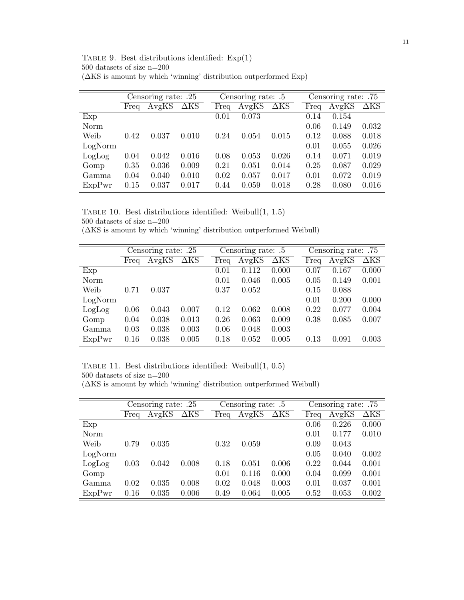11

| TABLE 9. Best distributions identified: $Exp(1)$                          |
|---------------------------------------------------------------------------|
| 500 datasets of size $n=200$                                              |
| $(\Delta KS)$ is amount by which 'winning' distribution outperformed Exp. |

|         |      | Censoring rate: .25 |                        |      | Censoring rate: .5 |             |      | Censoring rate: .75 |             |
|---------|------|---------------------|------------------------|------|--------------------|-------------|------|---------------------|-------------|
|         | Freq | AvgKS               | $\overline{\Delta}$ KS | Freq | AvgKS              | $\Delta$ KS | Freq | AvgKS               | $\Delta$ KS |
| Exp     |      |                     |                        | 0.01 | 0.073              |             | 0.14 | 0.154               |             |
| Norm    |      |                     |                        |      |                    |             | 0.06 | 0.149               | 0.032       |
| Weib    | 0.42 | 0.037               | 0.010                  | 0.24 | 0.054              | 0.015       | 0.12 | 0.088               | 0.018       |
| LogNorm |      |                     |                        |      |                    |             | 0.01 | 0.055               | 0.026       |
| LogLog  | 0.04 | 0.042               | 0.016                  | 0.08 | 0.053              | 0.026       | 0.14 | 0.071               | 0.019       |
| Gomp    | 0.35 | 0.036               | 0.009                  | 0.21 | 0.051              | 0.014       | 0.25 | 0.087               | 0.029       |
| Gamma   | 0.04 | 0.040               | 0.010                  | 0.02 | 0.057              | 0.017       | 0.01 | 0.072               | 0.019       |
| ExpPwr  | 0.15 | 0.037               | 0.017                  | 0.44 | 0.059              | 0.018       | 0.28 | 0.080               | 0.016       |

| TABLE 10. Best distributions identified: Weibull $(1, 1.5)$ |  |
|-------------------------------------------------------------|--|
| $500$ datasets of size $n=200$                              |  |

(∆KS is amount by which 'winning' distribution outperformed Weibull)

|         |      | Censoring rate: .25 |             |      | Censoring rate: .5 |                     |      | Censoring rate: .75 |             |
|---------|------|---------------------|-------------|------|--------------------|---------------------|------|---------------------|-------------|
|         | Freq | AvgKS               | $\Delta$ KS | Frea | AvgKS              | $\Delta\mathrm{KS}$ | Freq | AvgKS               | $\Delta$ KS |
| Exp     |      |                     |             | 0.01 | 0.112              | 0.000               | 0.07 | 0.167               | 0.000       |
| Norm    |      |                     |             | 0.01 | 0.046              | 0.005               | 0.05 | 0.149               | 0.001       |
| Weib    | 0.71 | 0.037               |             | 0.37 | 0.052              |                     | 0.15 | 0.088               |             |
| LogNorm |      |                     |             |      |                    |                     | 0.01 | 0.200               | 0.000       |
| LogLog  | 0.06 | 0.043               | 0.007       | 0.12 | 0.062              | 0.008               | 0.22 | 0.077               | 0.004       |
| Gomp    | 0.04 | 0.038               | 0.013       | 0.26 | 0.063              | 0.009               | 0.38 | 0.085               | 0.007       |
| Gamma   | 0.03 | 0.038               | 0.003       | 0.06 | 0.048              | 0.003               |      |                     |             |
| ExpPwr  | 0.16 | 0.038               | 0.005       | 0.18 | 0.052              | 0.005               | 0.13 | 0.091               | 0.003       |

TABLE 11. Best distributions identified: Weibull $(1, 0.5)$ 500 datasets of size n=200

(∆KS is amount by which 'winning' distribution outperformed Weibull)

|         |      | Censoring rate: .25 |             |      | Censoring rate: .5 |             |      | Censoring rate: .75 |                     |
|---------|------|---------------------|-------------|------|--------------------|-------------|------|---------------------|---------------------|
|         | Freq | AvgKS               | $\Delta$ KS | Freq | AvgKS              | $\Delta$ KS | Freq | AvgKS               | $\Delta\mathrm{KS}$ |
| Exp     |      |                     |             |      |                    |             | 0.06 | 0.226               | 0.000               |
| Norm    |      |                     |             |      |                    |             | 0.01 | 0.177               | 0.010               |
| Weib    | 0.79 | 0.035               |             | 0.32 | 0.059              |             | 0.09 | 0.043               |                     |
| LogNorm |      |                     |             |      |                    |             | 0.05 | 0.040               | 0.002               |
| LogLog  | 0.03 | 0.042               | 0.008       | 0.18 | 0.051              | 0.006       | 0.22 | 0.044               | 0.001               |
| Gomp    |      |                     |             | 0.01 | 0.116              | 0.000       | 0.04 | 0.099               | 0.001               |
| Gamma   | 0.02 | 0.035               | 0.008       | 0.02 | 0.048              | 0.003       | 0.01 | 0.037               | 0.001               |
| ExpPwr  | 0.16 | 0.035               | 0.006       | 0.49 | 0.064              | 0.005       | 0.52 | 0.053               | 0.002               |